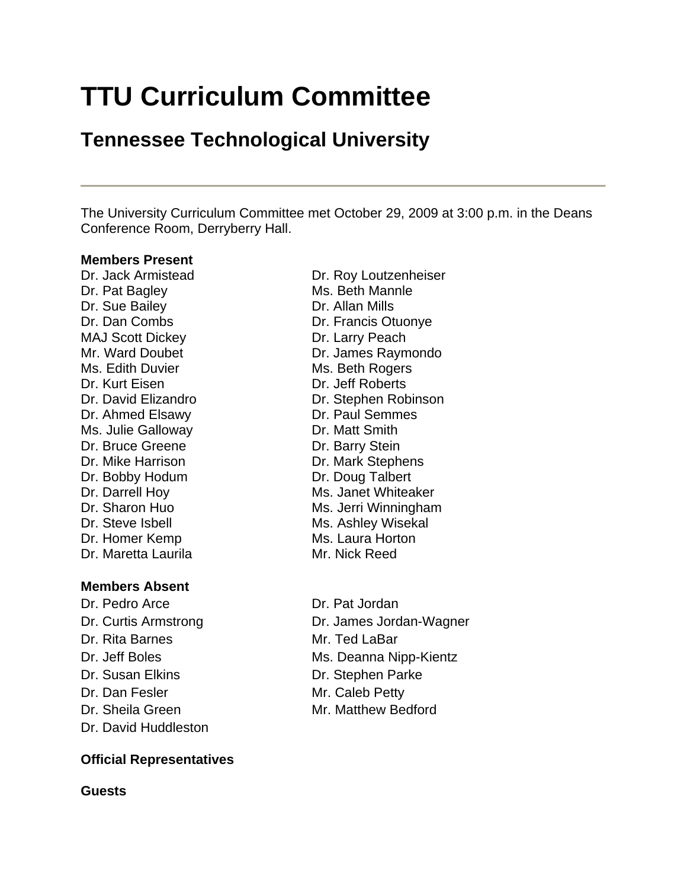# **TTU Curriculum Committee**

# **Tennessee Technological University**

The University Curriculum Committee met October 29, 2009 at 3:00 p.m. in the Deans Conference Room, Derryberry Hall.

#### **Members Present**

Dr. Pat Bagley Ms. Beth Mannle Dr. Sue Bailey **Dr. Allan Mills** MAJ Scott Dickey Dr. Larry Peach Ms. Edith Duvier Ms. Beth Rogers Dr. Kurt Eisen Dr. Jeff Roberts Dr. Ahmed Elsawy Dr. Paul Semmes Ms. Julie Galloway **Dr. Matt Smith** Dr. Bruce Greene Dr. Barry Stein Dr. Mike Harrison Dr. Mark Stephens Dr. Bobby Hodum Dr. Doug Talbert Dr. Steve Isbell Ms. Ashley Wisekal Dr. Homer Kemp Ms. Laura Horton Dr. Maretta Laurila Mr. Nick Reed

#### **Members Absent**

Dr. Pedro Arce Dr. Pat Jordan Dr. Rita Barnes Mr. Ted LaBar Dr. Susan Elkins Dr. Stephen Parke Dr. Dan Fesler Mr. Caleb Petty Dr. Sheila Green Mr. Matthew Bedford Dr. David Huddleston

# **Official Representatives**

**Guests**

Dr. Jack Armistead Dr. Roy Loutzenheiser Dr. Dan Combs Dr. Francis Otuonye Mr. Ward Doubet **Dr. James Raymondo** Dr. David Elizandro **Dr. Stephen Robinson** Dr. Darrell Hoy Ms. Janet Whiteaker Dr. Sharon Huo Ms. Jerri Winningham

Dr. Curtis Armstrong Dr. James Jordan-Wagner Dr. Jeff Boles Ms. Deanna Nipp-Kientz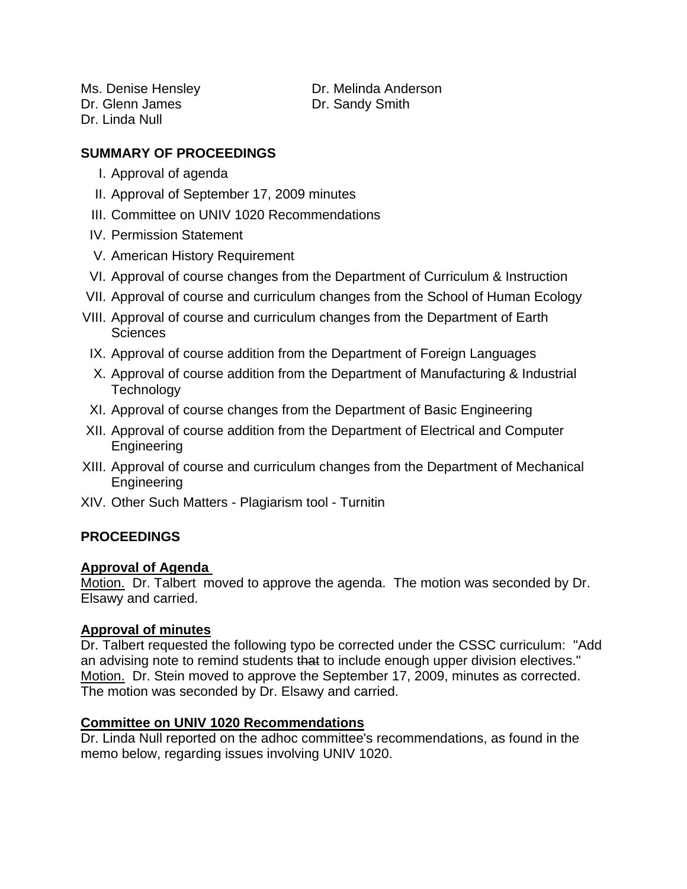Dr. Glenn James Dr. Sandy Smith Dr. Linda Null

Ms. Denise Hensley **Network** Dr. Melinda Anderson

# **SUMMARY OF PROCEEDINGS**

- I. Approval of agenda
- II. Approval of September 17, 2009 minutes
- III. Committee on UNIV 1020 Recommendations
- IV. Permission Statement
- V. American History Requirement
- VI. Approval of course changes from the Department of Curriculum & Instruction
- VII. Approval of course and curriculum changes from the School of Human Ecology
- VIII. Approval of course and curriculum changes from the Department of Earth **Sciences**
- IX. Approval of course addition from the Department of Foreign Languages
- X. Approval of course addition from the Department of Manufacturing & Industrial **Technology**
- XI. Approval of course changes from the Department of Basic Engineering
- XII. Approval of course addition from the Department of Electrical and Computer Engineering
- XIII. Approval of course and curriculum changes from the Department of Mechanical Engineering
- XIV. Other Such Matters Plagiarism tool Turnitin

# **PROCEEDINGS**

# **Approval of Agenda**

Motion. Dr. Talbert moved to approve the agenda. The motion was seconded by Dr. Elsawy and carried.

# **Approval of minutes**

Dr. Talbert requested the following typo be corrected under the CSSC curriculum: "Add an advising note to remind students that to include enough upper division electives." Motion. Dr. Stein moved to approve the September 17, 2009, minutes as corrected. The motion was seconded by Dr. Elsawy and carried.

# **Committee on UNIV 1020 Recommendations**

Dr. Linda Null reported on the adhoc committee's recommendations, as found in the memo below, regarding issues involving UNIV 1020.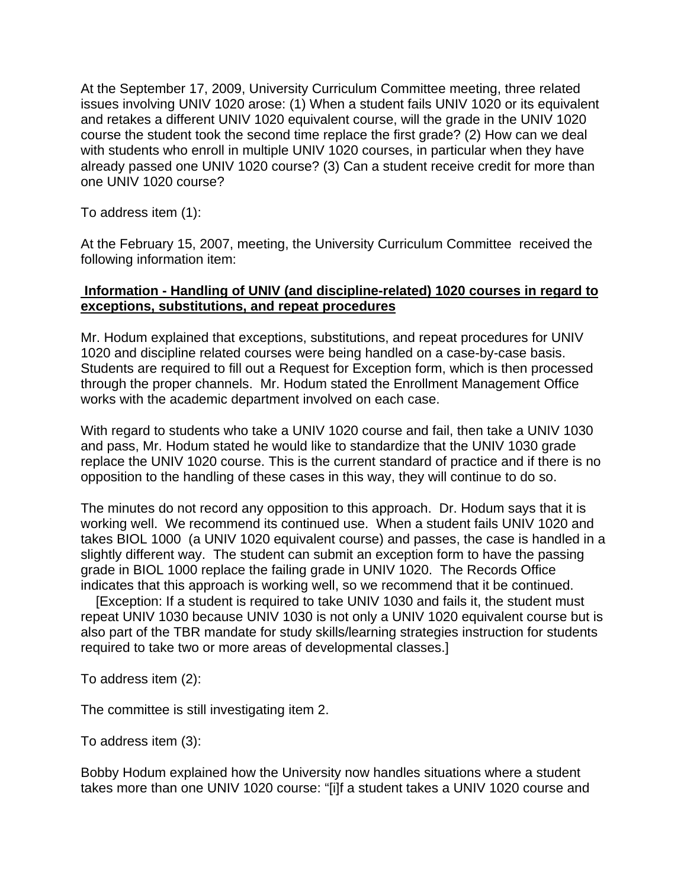At the September 17, 2009, University Curriculum Committee meeting, three related issues involving UNIV 1020 arose: (1) When a student fails UNIV 1020 or its equivalent and retakes a different UNIV 1020 equivalent course, will the grade in the UNIV 1020 course the student took the second time replace the first grade? (2) How can we deal with students who enroll in multiple UNIV 1020 courses, in particular when they have already passed one UNIV 1020 course? (3) Can a student receive credit for more than one UNIV 1020 course?

To address item (1):

At the February 15, 2007, meeting, the University Curriculum Committee received the following information item:

#### **Information - Handling of UNIV (and discipline-related) 1020 courses in regard to exceptions, substitutions, and repeat procedures**

Mr. Hodum explained that exceptions, substitutions, and repeat procedures for UNIV 1020 and discipline related courses were being handled on a case-by-case basis. Students are required to fill out a Request for Exception form, which is then processed through the proper channels. Mr. Hodum stated the Enrollment Management Office works with the academic department involved on each case.

With regard to students who take a UNIV 1020 course and fail, then take a UNIV 1030 and pass, Mr. Hodum stated he would like to standardize that the UNIV 1030 grade replace the UNIV 1020 course. This is the current standard of practice and if there is no opposition to the handling of these cases in this way, they will continue to do so.

The minutes do not record any opposition to this approach. Dr. Hodum says that it is working well. We recommend its continued use. When a student fails UNIV 1020 and takes BIOL 1000 (a UNIV 1020 equivalent course) and passes, the case is handled in a slightly different way. The student can submit an exception form to have the passing grade in BIOL 1000 replace the failing grade in UNIV 1020. The Records Office indicates that this approach is working well, so we recommend that it be continued.

 [Exception: If a student is required to take UNIV 1030 and fails it, the student must repeat UNIV 1030 because UNIV 1030 is not only a UNIV 1020 equivalent course but is also part of the TBR mandate for study skills/learning strategies instruction for students required to take two or more areas of developmental classes.]

To address item (2):

The committee is still investigating item 2.

To address item (3):

Bobby Hodum explained how the University now handles situations where a student takes more than one UNIV 1020 course: "[i]f a student takes a UNIV 1020 course and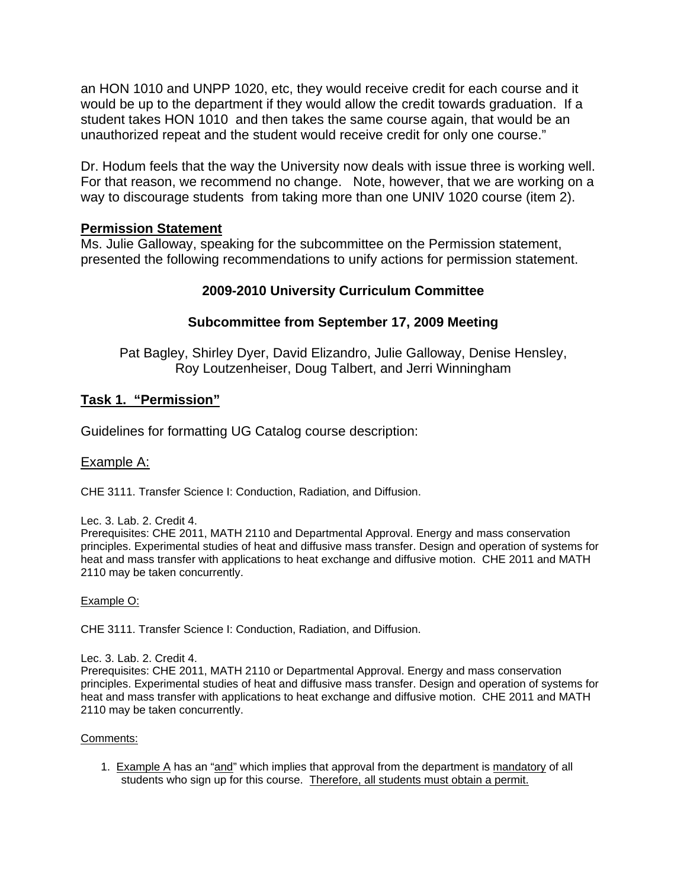an HON 1010 and UNPP 1020, etc, they would receive credit for each course and it would be up to the department if they would allow the credit towards graduation. If a student takes HON 1010 and then takes the same course again, that would be an unauthorized repeat and the student would receive credit for only one course."

Dr. Hodum feels that the way the University now deals with issue three is working well. For that reason, we recommend no change. Note, however, that we are working on a way to discourage students from taking more than one UNIV 1020 course (item 2).

#### **Permission Statement**

Ms. Julie Galloway, speaking for the subcommittee on the Permission statement, presented the following recommendations to unify actions for permission statement.

#### **2009-2010 University Curriculum Committee**

#### **Subcommittee from September 17, 2009 Meeting**

Pat Bagley, Shirley Dyer, David Elizandro, Julie Galloway, Denise Hensley, Roy Loutzenheiser, Doug Talbert, and Jerri Winningham

#### **Task 1. "Permission"**

Guidelines for formatting UG Catalog course description:

#### Example A:

CHE 3111. Transfer Science I: Conduction, Radiation, and Diffusion.

Lec. 3. Lab. 2. Credit 4.

Prerequisites: CHE 2011, MATH 2110 and Departmental Approval. Energy and mass conservation principles. Experimental studies of heat and diffusive mass transfer. Design and operation of systems for heat and mass transfer with applications to heat exchange and diffusive motion. CHE 2011 and MATH 2110 may be taken concurrently.

#### Example O:

CHE 3111. Transfer Science I: Conduction, Radiation, and Diffusion.

#### Lec. 3. Lab. 2. Credit 4.

Prerequisites: CHE 2011, MATH 2110 or Departmental Approval. Energy and mass conservation principles. Experimental studies of heat and diffusive mass transfer. Design and operation of systems for heat and mass transfer with applications to heat exchange and diffusive motion. CHE 2011 and MATH 2110 may be taken concurrently.

#### Comments:

1. Example A has an "and" which implies that approval from the department is mandatory of all students who sign up for this course. Therefore, all students must obtain a permit.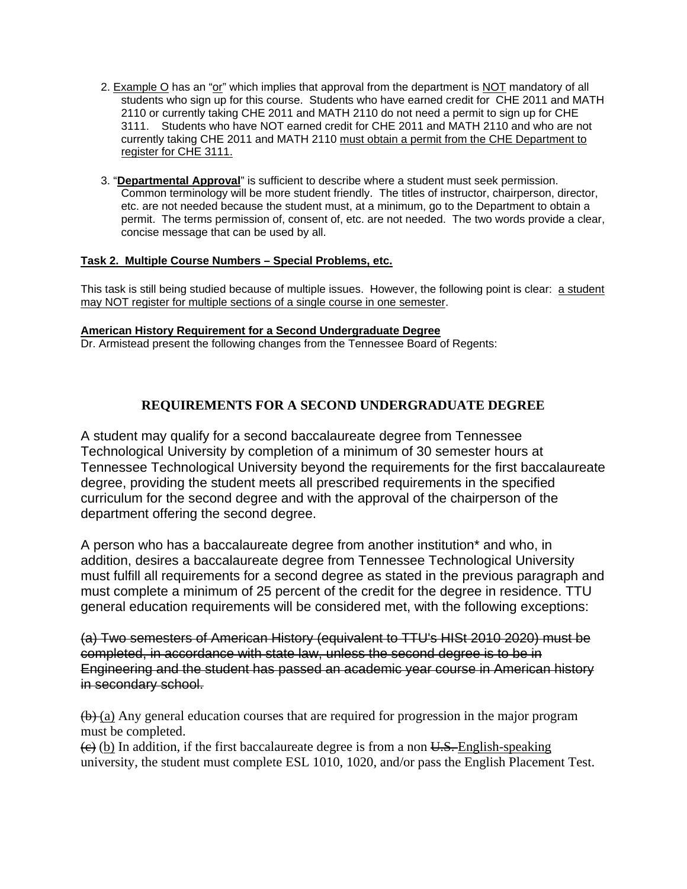- 2. Example O has an "or" which implies that approval from the department is NOT mandatory of all students who sign up for this course. Students who have earned credit for CHE 2011 and MATH 2110 or currently taking CHE 2011 and MATH 2110 do not need a permit to sign up for CHE 3111. Students who have NOT earned credit for CHE 2011 and MATH 2110 and who are not currently taking CHE 2011 and MATH 2110 must obtain a permit from the CHE Department to register for CHE 3111.
- 3. "**Departmental Approval**" is sufficient to describe where a student must seek permission. Common terminology will be more student friendly. The titles of instructor, chairperson, director, etc. are not needed because the student must, at a minimum, go to the Department to obtain a permit. The terms permission of, consent of, etc. are not needed. The two words provide a clear, concise message that can be used by all.

#### **Task 2. Multiple Course Numbers – Special Problems, etc.**

This task is still being studied because of multiple issues. However, the following point is clear: a student may NOT register for multiple sections of a single course in one semester.

#### **American History Requirement for a Second Undergraduate Degree**

Dr. Armistead present the following changes from the Tennessee Board of Regents:

#### **REQUIREMENTS FOR A SECOND UNDERGRADUATE DEGREE**

A student may qualify for a second baccalaureate degree from Tennessee Technological University by completion of a minimum of 30 semester hours at Tennessee Technological University beyond the requirements for the first baccalaureate degree, providing the student meets all prescribed requirements in the specified curriculum for the second degree and with the approval of the chairperson of the department offering the second degree.

A person who has a baccalaureate degree from another institution\* and who, in addition, desires a baccalaureate degree from Tennessee Technological University must fulfill all requirements for a second degree as stated in the previous paragraph and must complete a minimum of 25 percent of the credit for the degree in residence. TTU general education requirements will be considered met, with the following exceptions:

(a) Two semesters of American History (equivalent to TTU's HISt 2010 2020) must be completed, in accordance with state law, unless the second degree is to be in Engineering and the student has passed an academic year course in American history in secondary school.

 $(b)$  (a) Any general education courses that are required for progression in the major program must be completed.

 $\left(\epsilon\right)$  (b) In addition, if the first baccalaureate degree is from a non U.S. English-speaking university, the student must complete ESL 1010, 1020, and/or pass the English Placement Test.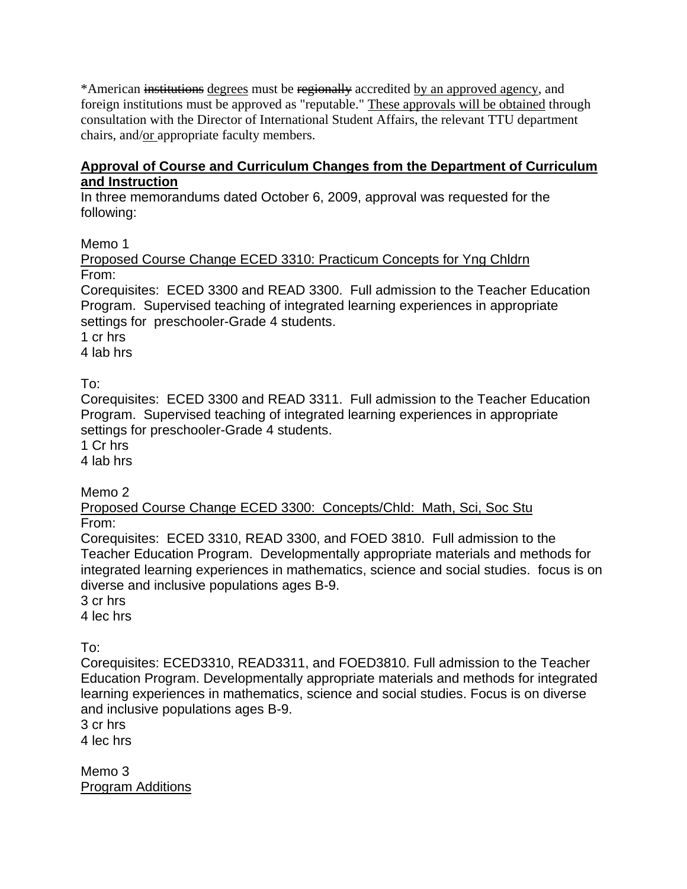\*American institutions degrees must be regionally accredited by an approved agency, and foreign institutions must be approved as "reputable." These approvals will be obtained through consultation with the Director of International Student Affairs, the relevant TTU department chairs, and/or appropriate faculty members.

#### **Approval of Course and Curriculum Changes from the Department of Curriculum and Instruction**

In three memorandums dated October 6, 2009, approval was requested for the following:

Memo 1

Proposed Course Change ECED 3310: Practicum Concepts for Yng Chldrn From:

Corequisites: ECED 3300 and READ 3300. Full admission to the Teacher Education Program. Supervised teaching of integrated learning experiences in appropriate settings for preschooler-Grade 4 students.

1 cr hrs

4 lab hrs

To:

Corequisites: ECED 3300 and READ 3311. Full admission to the Teacher Education Program. Supervised teaching of integrated learning experiences in appropriate settings for preschooler-Grade 4 students.

1 Cr hrs

4 lab hrs

Memo 2

Proposed Course Change ECED 3300: Concepts/Chld: Math, Sci, Soc Stu From:

Corequisites: ECED 3310, READ 3300, and FOED 3810. Full admission to the Teacher Education Program. Developmentally appropriate materials and methods for integrated learning experiences in mathematics, science and social studies. focus is on diverse and inclusive populations ages B-9.

3 cr hrs

4 lec hrs

To:

Corequisites: ECED3310, READ3311, and FOED3810. Full admission to the Teacher Education Program. Developmentally appropriate materials and methods for integrated learning experiences in mathematics, science and social studies. Focus is on diverse and inclusive populations ages B-9.

3 cr hrs

4 lec hrs

Memo 3 Program Additions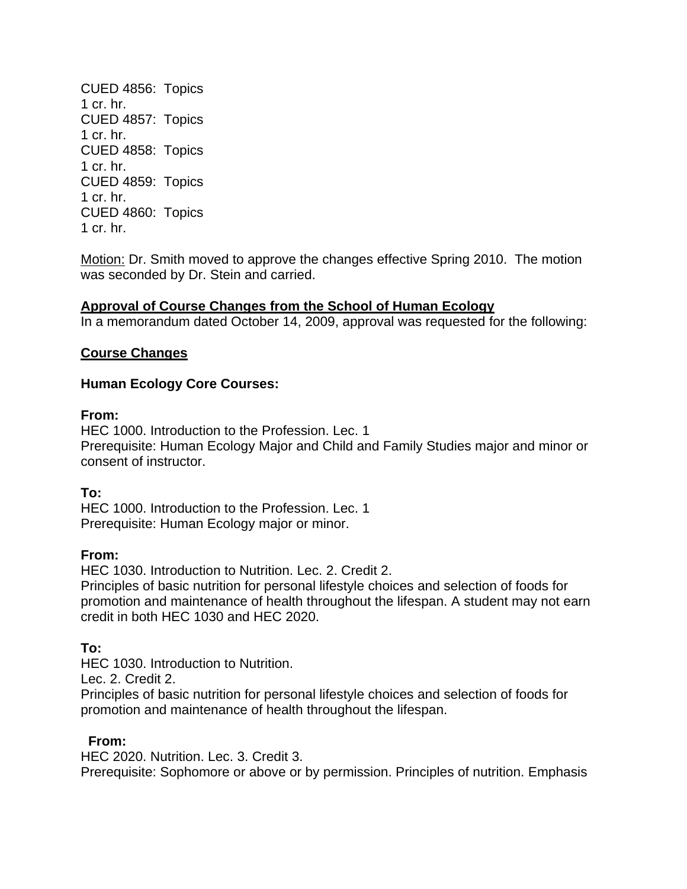CUED 4856: Topics 1 cr. hr. CUED 4857: Topics 1 cr. hr. CUED 4858: Topics 1 cr. hr. CUED 4859: Topics 1 cr. hr. CUED 4860: Topics 1 cr. hr.

Motion: Dr. Smith moved to approve the changes effective Spring 2010. The motion was seconded by Dr. Stein and carried.

#### **Approval of Course Changes from the School of Human Ecology**

In a memorandum dated October 14, 2009, approval was requested for the following:

#### **Course Changes**

#### **Human Ecology Core Courses:**

#### **From:**

HEC 1000. Introduction to the Profession. Lec. 1 Prerequisite: Human Ecology Major and Child and Family Studies major and minor or consent of instructor.

**To:** 

HEC 1000. Introduction to the Profession. Lec. 1 Prerequisite: Human Ecology major or minor.

#### **From:**

HEC 1030. Introduction to Nutrition. Lec. 2. Credit 2.

Principles of basic nutrition for personal lifestyle choices and selection of foods for promotion and maintenance of health throughout the lifespan. A student may not earn credit in both HEC 1030 and HEC 2020.

# **To:**

HEC 1030. Introduction to Nutrition.

Lec. 2. Credit 2.

Principles of basic nutrition for personal lifestyle choices and selection of foods for promotion and maintenance of health throughout the lifespan.

#### **From:**

HEC 2020. Nutrition. Lec. 3. Credit 3. Prerequisite: Sophomore or above or by permission. Principles of nutrition. Emphasis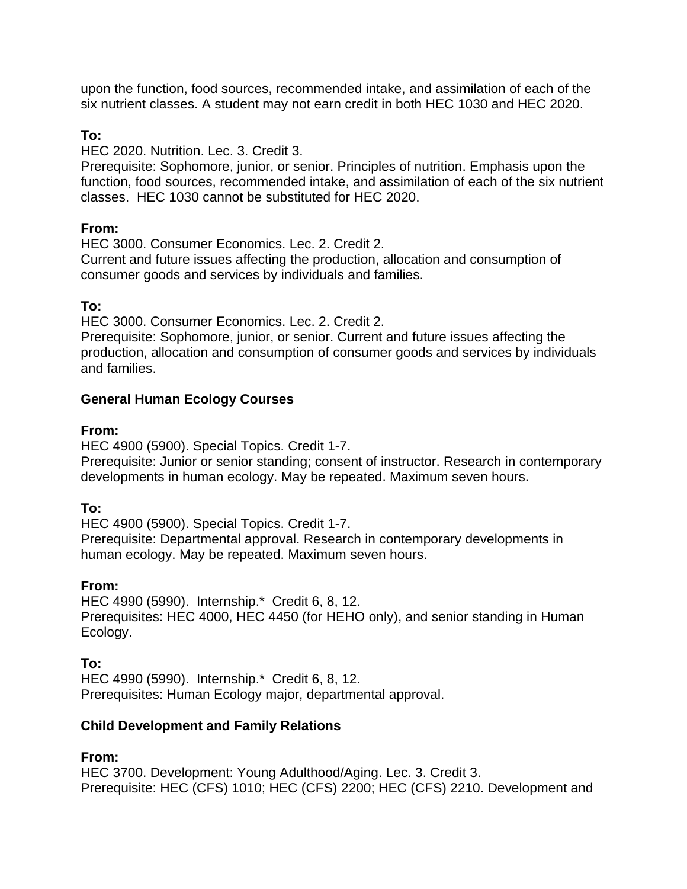upon the function, food sources, recommended intake, and assimilation of each of the six nutrient classes. A student may not earn credit in both HEC 1030 and HEC 2020.

#### **To:**

HEC 2020. Nutrition. Lec. 3. Credit 3.

Prerequisite: Sophomore, junior, or senior. Principles of nutrition. Emphasis upon the function, food sources, recommended intake, and assimilation of each of the six nutrient classes. HEC 1030 cannot be substituted for HEC 2020.

#### **From:**

HEC 3000. Consumer Economics. Lec. 2. Credit 2.

Current and future issues affecting the production, allocation and consumption of consumer goods and services by individuals and families.

#### **To:**

HEC 3000. Consumer Economics. Lec. 2. Credit 2.

Prerequisite: Sophomore, junior, or senior. Current and future issues affecting the production, allocation and consumption of consumer goods and services by individuals and families.

#### **General Human Ecology Courses**

#### **From:**

HEC 4900 (5900). Special Topics. Credit 1-7.

Prerequisite: Junior or senior standing; consent of instructor. Research in contemporary developments in human ecology. May be repeated. Maximum seven hours.

# **To:**

HEC 4900 (5900). Special Topics. Credit 1-7. Prerequisite: Departmental approval. Research in contemporary developments in human ecology. May be repeated. Maximum seven hours.

# **From:**

HEC 4990 (5990). Internship.\* Credit 6, 8, 12. Prerequisites: HEC 4000, HEC 4450 (for HEHO only), and senior standing in Human Ecology.

**To:** 

HEC 4990 (5990). Internship.\* Credit 6, 8, 12. Prerequisites: Human Ecology major, departmental approval.

# **Child Development and Family Relations**

**From:** 

HEC 3700. Development: Young Adulthood/Aging. Lec. 3. Credit 3. Prerequisite: HEC (CFS) 1010; HEC (CFS) 2200; HEC (CFS) 2210. Development and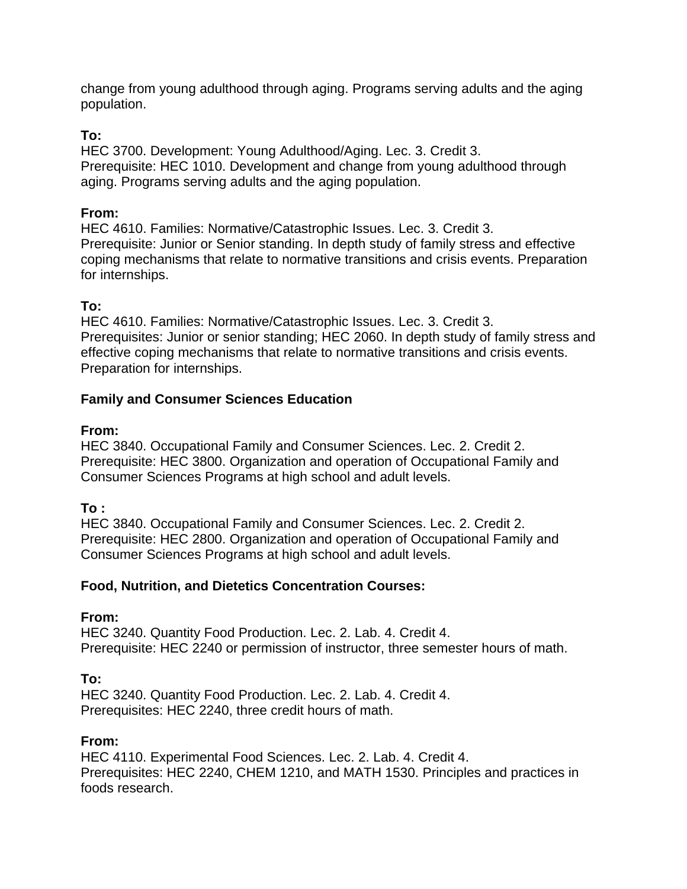change from young adulthood through aging. Programs serving adults and the aging population.

### **To:**

HEC 3700. Development: Young Adulthood/Aging. Lec. 3. Credit 3. Prerequisite: HEC 1010. Development and change from young adulthood through aging. Programs serving adults and the aging population.

### **From:**

HEC 4610. Families: Normative/Catastrophic Issues. Lec. 3. Credit 3. Prerequisite: Junior or Senior standing. In depth study of family stress and effective coping mechanisms that relate to normative transitions and crisis events. Preparation for internships.

#### **To:**

HEC 4610. Families: Normative/Catastrophic Issues. Lec. 3. Credit 3. Prerequisites: Junior or senior standing; HEC 2060. In depth study of family stress and effective coping mechanisms that relate to normative transitions and crisis events. Preparation for internships.

#### **Family and Consumer Sciences Education**

#### **From:**

HEC 3840. Occupational Family and Consumer Sciences. Lec. 2. Credit 2. Prerequisite: HEC 3800. Organization and operation of Occupational Family and Consumer Sciences Programs at high school and adult levels.

# **To :**

HEC 3840. Occupational Family and Consumer Sciences. Lec. 2. Credit 2. Prerequisite: HEC 2800. Organization and operation of Occupational Family and Consumer Sciences Programs at high school and adult levels.

#### **Food, Nutrition, and Dietetics Concentration Courses:**

#### **From:**

HEC 3240. Quantity Food Production. Lec. 2. Lab. 4. Credit 4. Prerequisite: HEC 2240 or permission of instructor, three semester hours of math.

# **To:**

HEC 3240. Quantity Food Production. Lec. 2. Lab. 4. Credit 4. Prerequisites: HEC 2240, three credit hours of math.

#### **From:**

HEC 4110. Experimental Food Sciences. Lec. 2. Lab. 4. Credit 4. Prerequisites: HEC 2240, CHEM 1210, and MATH 1530. Principles and practices in foods research.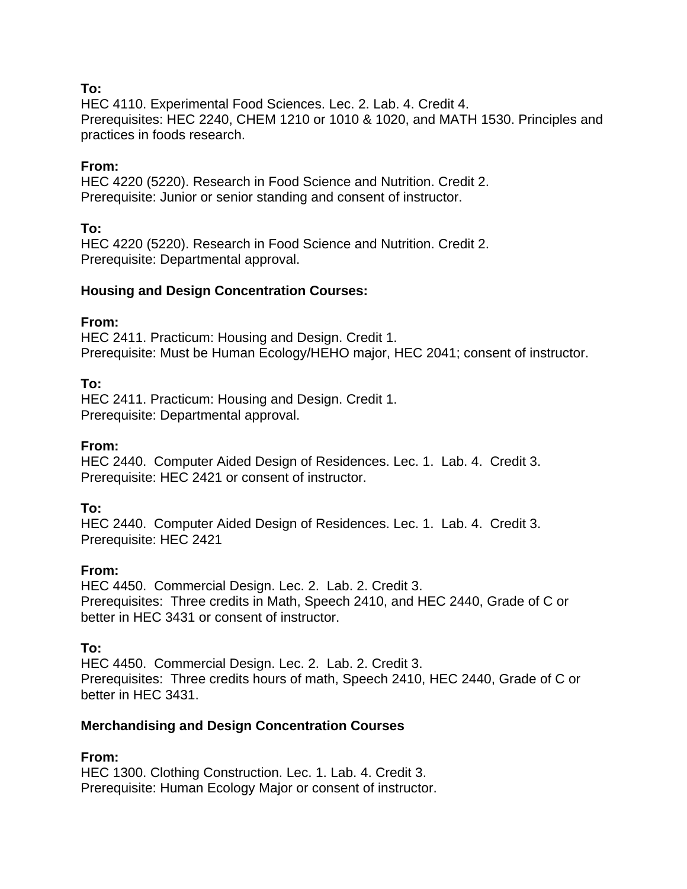#### **To:**

HEC 4110. Experimental Food Sciences. Lec. 2. Lab. 4. Credit 4. Prerequisites: HEC 2240, CHEM 1210 or 1010 & 1020, and MATH 1530. Principles and practices in foods research.

### **From:**

HEC 4220 (5220). Research in Food Science and Nutrition. Credit 2. Prerequisite: Junior or senior standing and consent of instructor.

#### **To:**

HEC 4220 (5220). Research in Food Science and Nutrition. Credit 2. Prerequisite: Departmental approval.

#### **Housing and Design Concentration Courses:**

#### **From:**

HEC 2411. Practicum: Housing and Design. Credit 1. Prerequisite: Must be Human Ecology/HEHO major, HEC 2041; consent of instructor.

#### **To:**

HEC 2411. Practicum: Housing and Design. Credit 1. Prerequisite: Departmental approval.

### **From:**

HEC 2440. Computer Aided Design of Residences. Lec. 1. Lab. 4. Credit 3. Prerequisite: HEC 2421 or consent of instructor.

#### **To:**

HEC 2440. Computer Aided Design of Residences. Lec. 1. Lab. 4. Credit 3. Prerequisite: HEC 2421

#### **From:**

HEC 4450. Commercial Design. Lec. 2. Lab. 2. Credit 3. Prerequisites: Three credits in Math, Speech 2410, and HEC 2440, Grade of C or better in HEC 3431 or consent of instructor.

# **To:**

HEC 4450. Commercial Design. Lec. 2. Lab. 2. Credit 3. Prerequisites: Three credits hours of math, Speech 2410, HEC 2440, Grade of C or better in HEC 3431.

# **Merchandising and Design Concentration Courses**

# **From:**

HEC 1300. Clothing Construction. Lec. 1. Lab. 4. Credit 3. Prerequisite: Human Ecology Major or consent of instructor.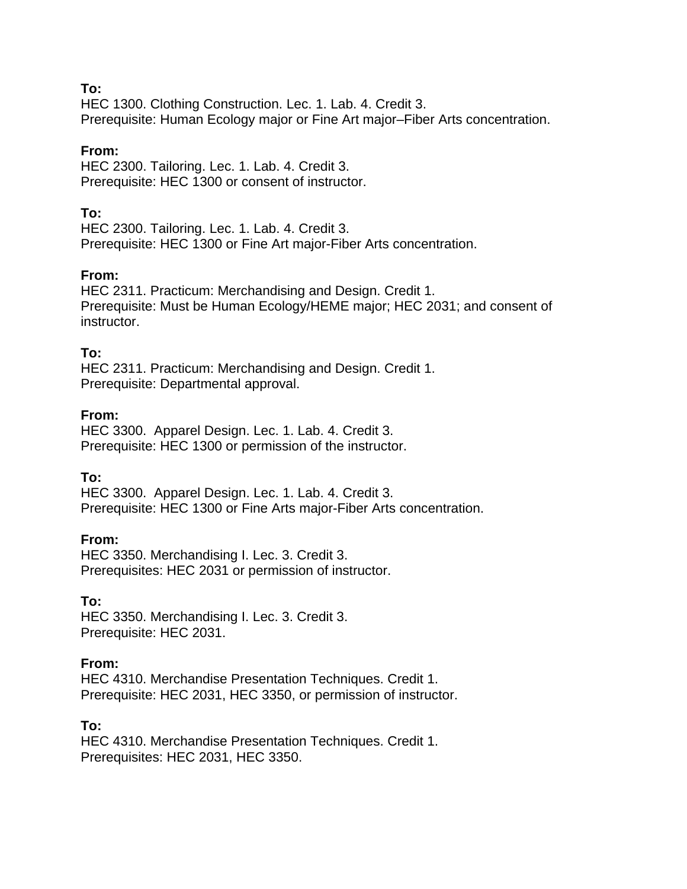#### **To:**

HEC 1300. Clothing Construction. Lec. 1. Lab. 4. Credit 3. Prerequisite: Human Ecology major or Fine Art major–Fiber Arts concentration.

#### **From:**

HEC 2300. Tailoring. Lec. 1. Lab. 4. Credit 3. Prerequisite: HEC 1300 or consent of instructor.

### **To:**

HEC 2300. Tailoring. Lec. 1. Lab. 4. Credit 3. Prerequisite: HEC 1300 or Fine Art major-Fiber Arts concentration.

#### **From:**

HEC 2311. Practicum: Merchandising and Design. Credit 1. Prerequisite: Must be Human Ecology/HEME major; HEC 2031; and consent of instructor.

#### **To:**

HEC 2311. Practicum: Merchandising and Design. Credit 1. Prerequisite: Departmental approval.

#### **From:**

HEC 3300. Apparel Design. Lec. 1. Lab. 4. Credit 3. Prerequisite: HEC 1300 or permission of the instructor.

# **To:**

HEC 3300. Apparel Design. Lec. 1. Lab. 4. Credit 3. Prerequisite: HEC 1300 or Fine Arts major-Fiber Arts concentration.

#### **From:**

HEC 3350. Merchandising I. Lec. 3. Credit 3. Prerequisites: HEC 2031 or permission of instructor.

#### **To:**

HEC 3350. Merchandising I. Lec. 3. Credit 3. Prerequisite: HEC 2031.

# **From:**

HEC 4310. Merchandise Presentation Techniques. Credit 1. Prerequisite: HEC 2031, HEC 3350, or permission of instructor.

#### **To:**

HEC 4310. Merchandise Presentation Techniques. Credit 1. Prerequisites: HEC 2031, HEC 3350.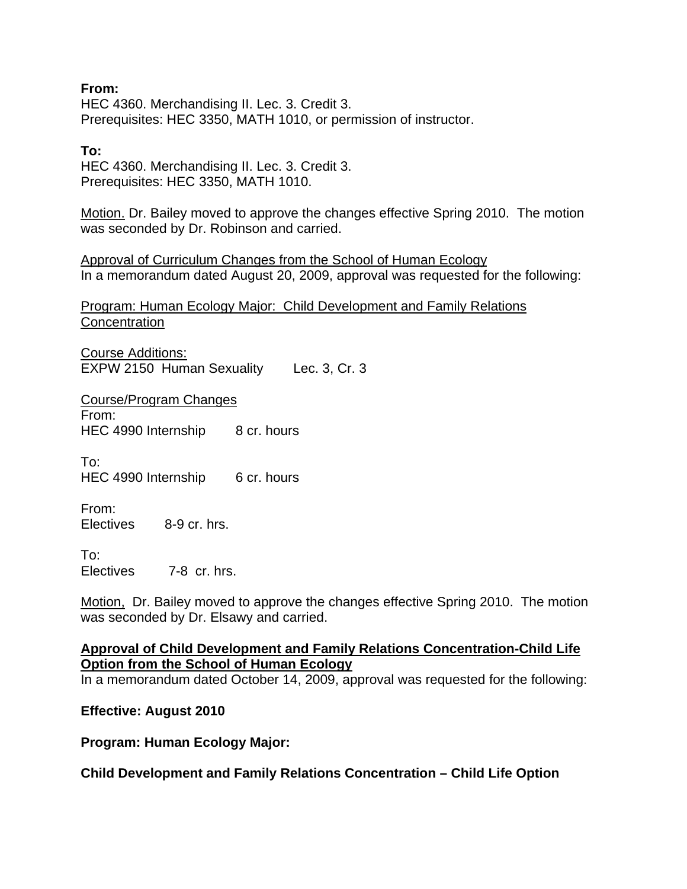**From:**  HEC 4360. Merchandising II. Lec. 3. Credit 3. Prerequisites: HEC 3350, MATH 1010, or permission of instructor.

#### **To:**

HEC 4360. Merchandising II. Lec. 3. Credit 3. Prerequisites: HEC 3350, MATH 1010.

Motion. Dr. Bailey moved to approve the changes effective Spring 2010. The motion was seconded by Dr. Robinson and carried.

Approval of Curriculum Changes from the School of Human Ecology In a memorandum dated August 20, 2009, approval was requested for the following:

Program: Human Ecology Major: Child Development and Family Relations **Concentration** 

Course Additions: EXPW 2150 Human Sexuality Lec. 3, Cr. 3

Course/Program Changes From: HEC 4990 Internship 8 cr. hours

To: HEC 4990 Internship 6 cr. hours

From: Electives 8-9 cr. hrs.

 $To:$ Electives 7-8 cr. hrs.

Motion, Dr. Bailey moved to approve the changes effective Spring 2010. The motion was seconded by Dr. Elsawy and carried.

**Approval of Child Development and Family Relations Concentration-Child Life Option from the School of Human Ecology**

In a memorandum dated October 14, 2009, approval was requested for the following:

#### **Effective: August 2010**

**Program: Human Ecology Major:** 

**Child Development and Family Relations Concentration – Child Life Option**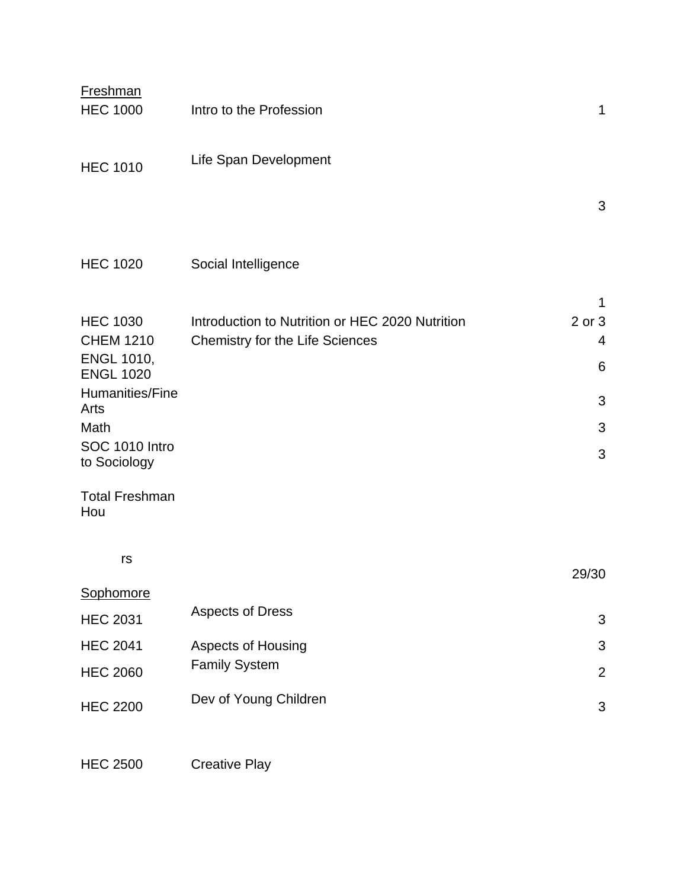| <b>Freshman</b><br><b>HEC 1000</b>  | Intro to the Profession                         | 1              |
|-------------------------------------|-------------------------------------------------|----------------|
| <b>HEC 1010</b>                     | Life Span Development                           |                |
|                                     |                                                 | 3              |
| <b>HEC 1020</b>                     | Social Intelligence                             |                |
|                                     |                                                 | 1              |
| <b>HEC 1030</b><br><b>CHEM 1210</b> | Introduction to Nutrition or HEC 2020 Nutrition | 2 or 3<br>4    |
| <b>ENGL 1010,</b>                   | <b>Chemistry for the Life Sciences</b>          | 6              |
| <b>ENGL 1020</b>                    |                                                 |                |
| Humanities/Fine<br>Arts             |                                                 | 3              |
| Math                                |                                                 | 3              |
| SOC 1010 Intro<br>to Sociology      |                                                 | 3              |
| <b>Total Freshman</b><br>Hou        |                                                 |                |
| rs                                  |                                                 | 29/30          |
| <b>Sophomore</b>                    |                                                 |                |
| <b>HEC 2031</b>                     | <b>Aspects of Dress</b>                         | $\mathfrak{B}$ |
| <b>HEC 2041</b>                     | <b>Aspects of Housing</b>                       | 3              |
| <b>HEC 2060</b>                     | <b>Family System</b>                            | $\overline{2}$ |
| <b>HEC 2200</b>                     | Dev of Young Children                           | $\mathfrak{B}$ |
|                                     |                                                 |                |

HEC 2500 Creative Play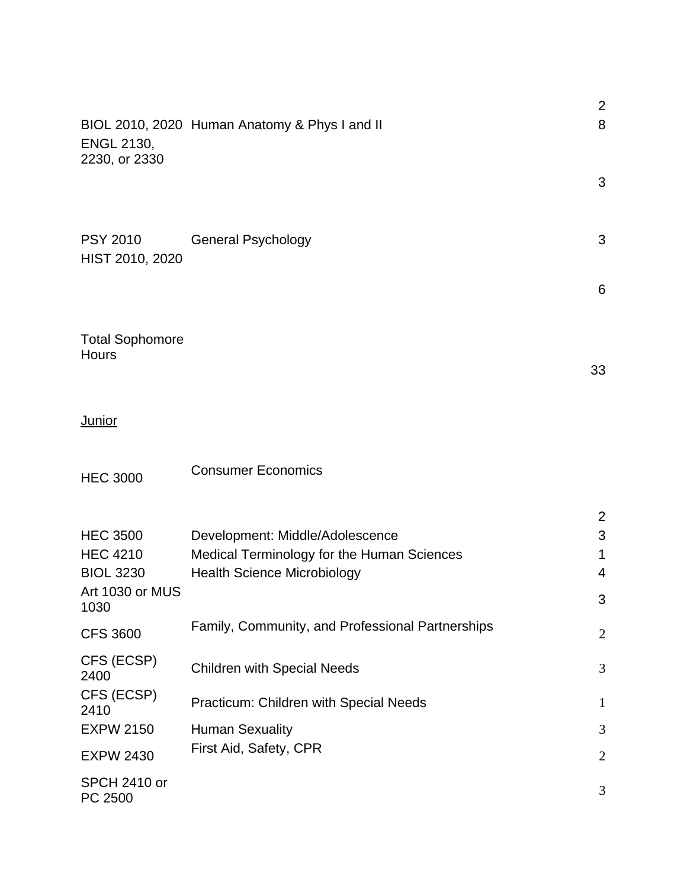| <b>ENGL 2130,</b>                           | BIOL 2010, 2020 Human Anatomy & Phys I and II                                 | $\overline{2}$<br>8      |
|---------------------------------------------|-------------------------------------------------------------------------------|--------------------------|
| 2230, or 2330                               |                                                                               | 3                        |
| <b>PSY 2010</b><br>HIST 2010, 2020          | <b>General Psychology</b>                                                     | 3                        |
|                                             |                                                                               | 6                        |
| <b>Total Sophomore</b><br><b>Hours</b>      |                                                                               | 33                       |
| Junior                                      |                                                                               |                          |
| <b>HEC 3000</b>                             | <b>Consumer Economics</b>                                                     |                          |
| <b>HEC 3500</b><br><b>HEC 4210</b>          | Development: Middle/Adolescence<br>Medical Terminology for the Human Sciences | $\overline{2}$<br>3<br>1 |
| <b>BIOL 3230</b><br>Art 1030 or MUS<br>1030 | <b>Health Science Microbiology</b>                                            | 4<br>3                   |
| <b>CFS 3600</b>                             | Family, Community, and Professional Partnerships                              | $\overline{2}$           |
| CFS (ECSP)<br>2400                          | <b>Children with Special Needs</b>                                            | 3                        |
| CFS (ECSP)<br>2410                          | Practicum: Children with Special Needs                                        | $\mathbf{1}$             |
| <b>EXPW 2150</b>                            | <b>Human Sexuality</b>                                                        | 3                        |
| <b>EXPW 2430</b>                            | First Aid, Safety, CPR                                                        | $\overline{2}$           |
| SPCH 2410 or<br>PC 2500                     |                                                                               | 3                        |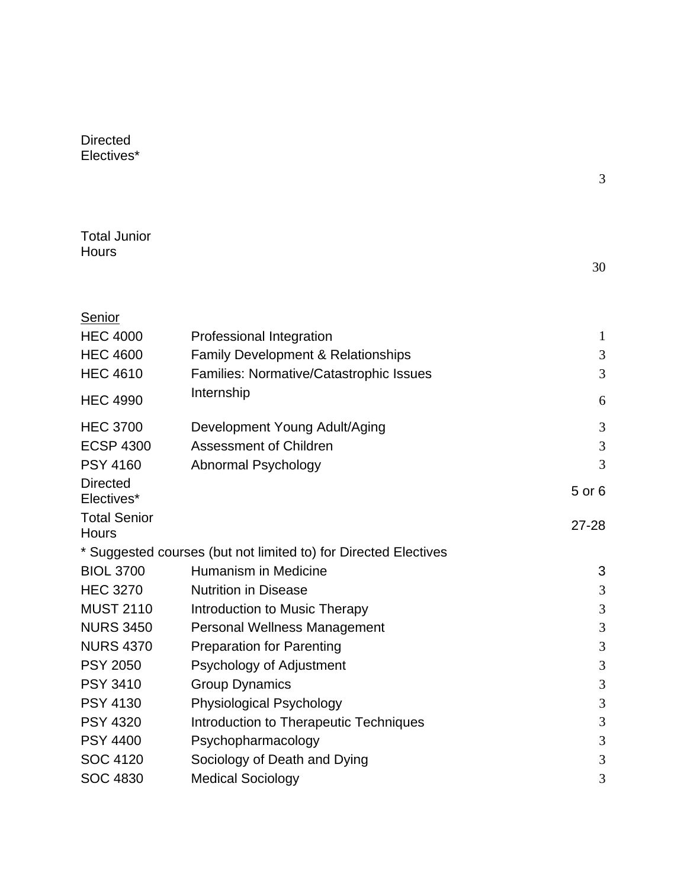| Directed   |  |
|------------|--|
| Electives* |  |

|  | - |
|--|---|
|  |   |
|  |   |
|  |   |
|  |   |

| <b>Total Junior</b> |  |
|---------------------|--|
| Hours               |  |

**Senior** 

|  | 30 |
|--|----|
|--|----|

| <b>HEC 4000</b>                     | Professional Integration                                        | $\mathbf{1}$   |
|-------------------------------------|-----------------------------------------------------------------|----------------|
| <b>HEC 4600</b>                     | Family Development & Relationships                              | 3              |
| <b>HEC 4610</b>                     | Families: Normative/Catastrophic Issues                         | 3              |
| <b>HEC 4990</b>                     | Internship                                                      | 6              |
| <b>HEC 3700</b>                     | Development Young Adult/Aging                                   | 3              |
| <b>ECSP 4300</b>                    | <b>Assessment of Children</b>                                   | 3              |
| <b>PSY 4160</b>                     | Abnormal Psychology                                             | $\overline{3}$ |
| <b>Directed</b><br>Electives*       |                                                                 | 5 or 6         |
| <b>Total Senior</b><br><b>Hours</b> |                                                                 | $27 - 28$      |
|                                     | * Suggested courses (but not limited to) for Directed Electives |                |
| <b>BIOL 3700</b>                    | Humanism in Medicine                                            | 3              |
| <b>HEC 3270</b>                     | <b>Nutrition in Disease</b>                                     | 3              |
| <b>MUST 2110</b>                    | Introduction to Music Therapy                                   | 3              |
| <b>NURS 3450</b>                    | <b>Personal Wellness Management</b>                             | 3              |
| <b>NURS 4370</b>                    | <b>Preparation for Parenting</b>                                | 3              |
| <b>PSY 2050</b>                     | Psychology of Adjustment                                        | 3              |
| <b>PSY 3410</b>                     | <b>Group Dynamics</b>                                           | 3              |
| <b>PSY 4130</b>                     | Physiological Psychology                                        | 3              |
| <b>PSY 4320</b>                     | Introduction to Therapeutic Techniques                          | 3              |
| <b>PSY 4400</b>                     | Psychopharmacology                                              | 3              |
| <b>SOC 4120</b>                     | Sociology of Death and Dying                                    | 3              |
| <b>SOC 4830</b>                     | <b>Medical Sociology</b>                                        | 3              |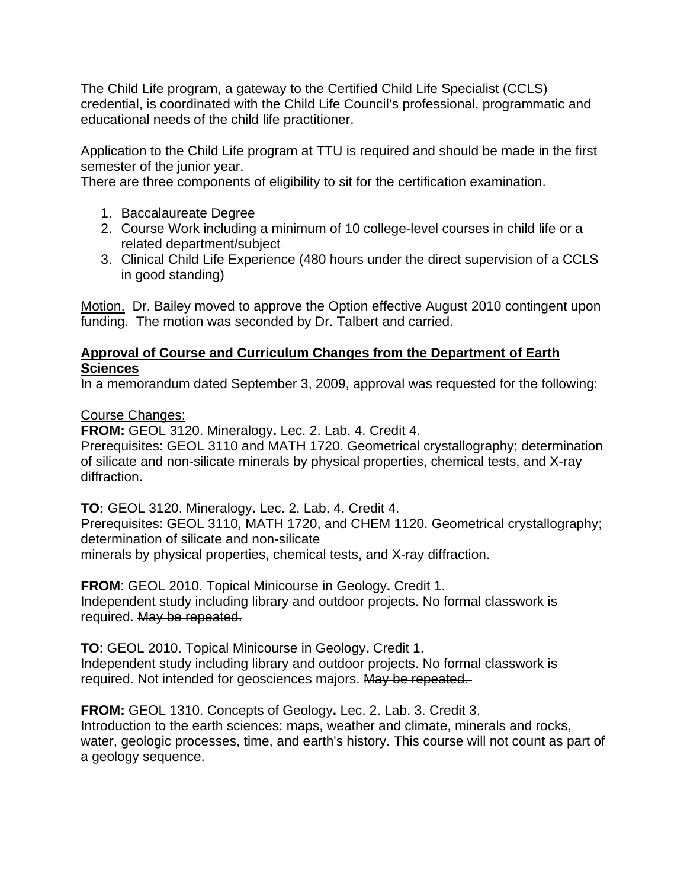The Child Life program, a gateway to the Certified Child Life Specialist (CCLS) credential, is coordinated with the Child Life Council's professional, programmatic and educational needs of the child life practitioner.

Application to the Child Life program at TTU is required and should be made in the first semester of the junior year.

There are three components of eligibility to sit for the certification examination.

- 1. Baccalaureate Degree
- 2. Course Work including a minimum of 10 college-level courses in child life or a related department/subject
- 3. Clinical Child Life Experience (480 hours under the direct supervision of a CCLS in good standing)

Motion. Dr. Bailey moved to approve the Option effective August 2010 contingent upon funding. The motion was seconded by Dr. Talbert and carried.

### **Approval of Course and Curriculum Changes from the Department of Earth Sciences**

In a memorandum dated September 3, 2009, approval was requested for the following:

Course Changes:

**FROM:** GEOL 3120. Mineralogy**.** Lec. 2. Lab. 4. Credit 4.

Prerequisites: GEOL 3110 and MATH 1720. Geometrical crystallography; determination of silicate and non-silicate minerals by physical properties, chemical tests, and X-ray diffraction.

**TO:** GEOL 3120. Mineralogy**.** Lec. 2. Lab. 4. Credit 4. Prerequisites: GEOL 3110, MATH 1720, and CHEM 1120. Geometrical crystallography; determination of silicate and non-silicate minerals by physical properties, chemical tests, and X-ray diffraction.

**FROM**: GEOL 2010. Topical Minicourse in Geology**.** Credit 1. Independent study including library and outdoor projects. No formal classwork is required. May be repeated.

**TO**: GEOL 2010. Topical Minicourse in Geology**.** Credit 1. Independent study including library and outdoor projects. No formal classwork is required. Not intended for geosciences majors. May be repeated.

**FROM:** GEOL 1310. Concepts of Geology**.** Lec. 2. Lab. 3. Credit 3. Introduction to the earth sciences: maps, weather and climate, minerals and rocks, water, geologic processes, time, and earth's history. This course will not count as part of a geology sequence.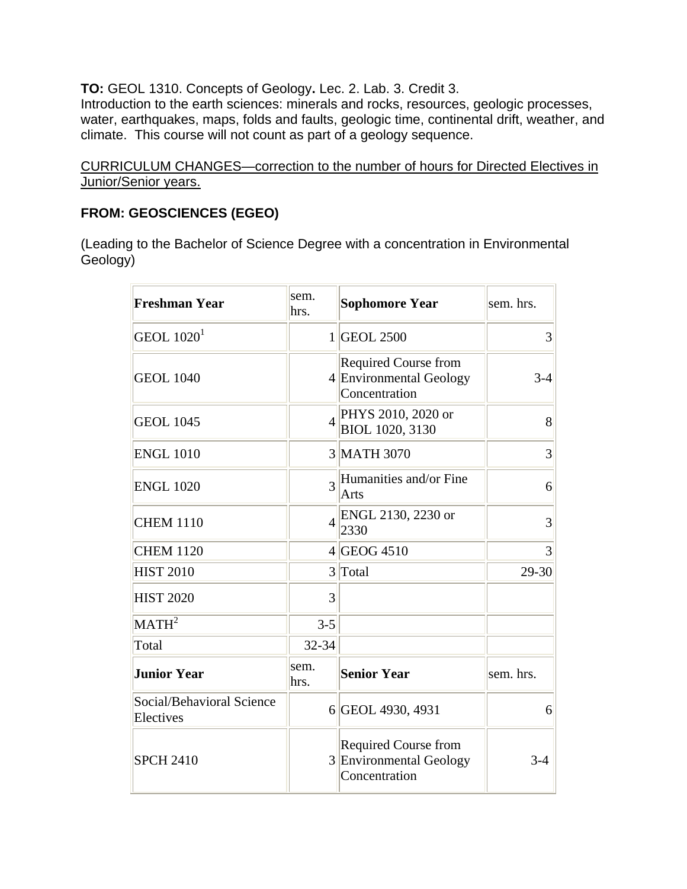**TO:** GEOL 1310. Concepts of Geology**.** Lec. 2. Lab. 3. Credit 3.

Introduction to the earth sciences: minerals and rocks, resources, geologic processes, water, earthquakes, maps, folds and faults, geologic time, continental drift, weather, and climate. This course will not count as part of a geology sequence.

CURRICULUM CHANGES—correction to the number of hours for Directed Electives in Junior/Senior years.

# **FROM: GEOSCIENCES (EGEO)**

(Leading to the Bachelor of Science Degree with a concentration in Environmental Geology)

| <b>Freshman Year</b>                   | sem.<br>hrs.   | <b>Sophomore Year</b>                                                   | sem. hrs. |
|----------------------------------------|----------------|-------------------------------------------------------------------------|-----------|
| $ $ GEOL 1020 $^1$                     |                | 1 GEOL 2500                                                             | 3         |
| <b>GEOL 1040</b>                       |                | <b>Required Course from</b><br>4 Environmental Geology<br>Concentration | $3-4$     |
| <b>GEOL 1045</b>                       | $\overline{4}$ | PHYS 2010, 2020 or<br>BIOL 1020, 3130                                   | 8         |
| <b>ENGL 1010</b>                       |                | 3 MATH 3070                                                             | 3         |
| <b>ENGL 1020</b>                       | $\overline{3}$ | Humanities and/or Fine<br>Arts                                          | 6         |
| <b>CHEM 1110</b>                       | $\overline{4}$ | ENGL 2130, 2230 or<br>2330                                              | 3         |
| <b>CHEM 1120</b>                       |                | $4$ GEOG 4510                                                           | 3         |
| <b>HIST 2010</b>                       |                | 3 Total                                                                 | 29-30     |
| <b>HIST 2020</b>                       | 3              |                                                                         |           |
| MATH <sup>2</sup>                      | $3 - 5$        |                                                                         |           |
| Total                                  | 32-34          |                                                                         |           |
| <b>Junior Year</b>                     | sem.<br>hrs.   | <b>Senior Year</b>                                                      | sem. hrs. |
| Social/Behavioral Science<br>Electives |                | 6 GEOL 4930, 4931                                                       | 6         |
| <b>SPCH 2410</b>                       |                | <b>Required Course from</b><br>3 Environmental Geology<br>Concentration | $3-4$     |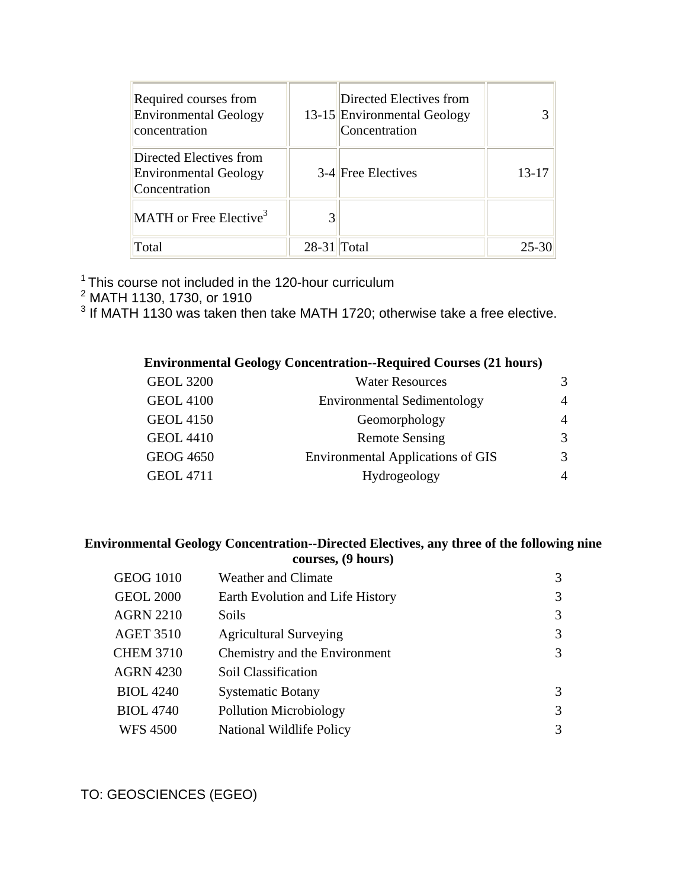| Required courses from<br><b>Environmental Geology</b><br>concentration   |               | Directed Electives from<br>13-15 Environmental Geology<br>Concentration |       |
|--------------------------------------------------------------------------|---------------|-------------------------------------------------------------------------|-------|
| Directed Electives from<br><b>Environmental Geology</b><br>Concentration |               | 3-4 Free Electives                                                      | 13-17 |
| $MATH$ or Free Elective <sup>3</sup>                                     |               |                                                                         |       |
| Total                                                                    | $28-31$ Total |                                                                         | 25-30 |

<sup>1</sup> This course not included in the 120-hour curriculum<br><sup>2</sup> MATH 1130, 1730, or 1910<br><sup>3</sup> If MATH 1130 was taken then take MATH 1720; otherwise take a free elective.

# **Environmental Geology Concentration--Required Courses (21 hours)**

| <b>GEOL 3200</b> | <b>Water Resources</b>                   |                |
|------------------|------------------------------------------|----------------|
| <b>GEOL 4100</b> | <b>Environmental Sedimentology</b>       | 4              |
| <b>GEOL 4150</b> | Geomorphology                            | $\overline{4}$ |
| <b>GEOL 4410</b> | <b>Remote Sensing</b>                    |                |
| <b>GEOG 4650</b> | <b>Environmental Applications of GIS</b> |                |
| <b>GEOL 4711</b> | Hydrogeology                             |                |

#### **Environmental Geology Concentration--Directed Electives, any three of the following nine courses, (9 hours)**

| <b>GEOG 1010</b> | Weather and Climate              | 3 |
|------------------|----------------------------------|---|
| <b>GEOL 2000</b> | Earth Evolution and Life History | 3 |
| <b>AGRN 2210</b> | Soils                            | 3 |
| <b>AGET 3510</b> | <b>Agricultural Surveying</b>    | 3 |
| <b>CHEM 3710</b> | Chemistry and the Environment    |   |
| <b>AGRN 4230</b> | Soil Classification              |   |
| <b>BIOL 4240</b> | <b>Systematic Botany</b>         | 3 |
| <b>BIOL 4740</b> | Pollution Microbiology           | 3 |
| <b>WFS 4500</b>  | National Wildlife Policy         | 3 |
|                  |                                  |   |

TO: GEOSCIENCES (EGEO)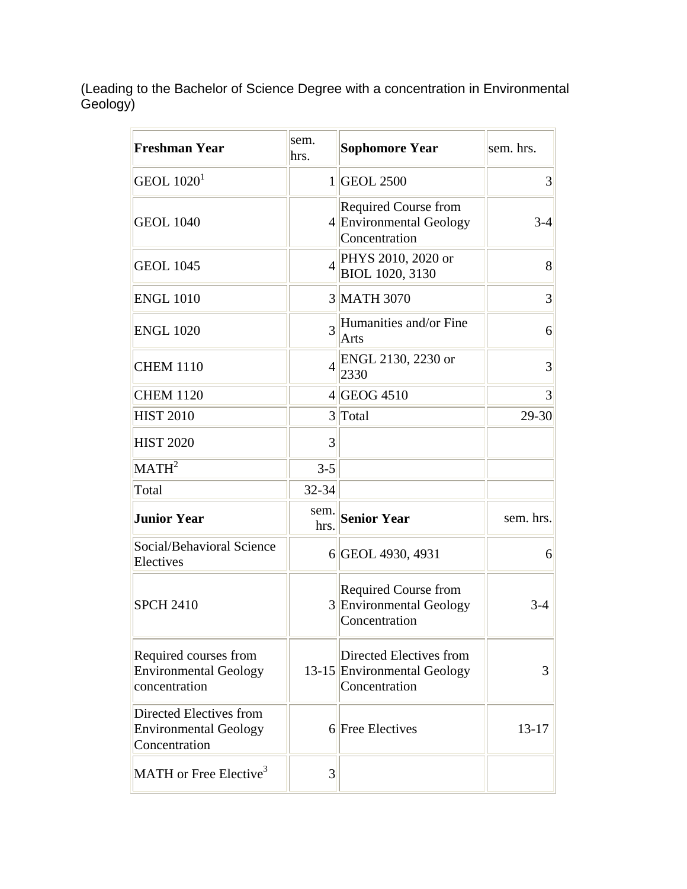(Leading to the Bachelor of Science Degree with a concentration in Environmental Geology)

| <b>Freshman Year</b>                                                     | sem.<br>hrs.   | <b>Sophomore Year</b>                                                   | sem. hrs. |
|--------------------------------------------------------------------------|----------------|-------------------------------------------------------------------------|-----------|
| GEOL $1020^1$                                                            |                | 1 GEOL 2500                                                             | 3         |
| <b>GEOL 1040</b>                                                         |                | <b>Required Course from</b><br>4 Environmental Geology<br>Concentration | $3 - 4$   |
| <b>GEOL 1045</b>                                                         | $\overline{4}$ | PHYS 2010, 2020 or<br>BIOL 1020, 3130                                   | 8         |
| <b>ENGL 1010</b>                                                         |                | 3 MATH 3070                                                             | 3         |
| <b>ENGL 1020</b>                                                         | $\overline{3}$ | Humanities and/or Fine<br>Arts                                          | 6         |
| <b>CHEM 1110</b>                                                         | $\overline{4}$ | ENGL 2130, 2230 or<br>2330                                              | 3         |
| <b>CHEM 1120</b>                                                         |                | $4$ GEOG 4510                                                           | 3         |
| <b>HIST 2010</b>                                                         |                | 3 Total                                                                 | 29-30     |
| <b>HIST 2020</b>                                                         | 3              |                                                                         |           |
| MATH <sup>2</sup>                                                        | $3 - 5$        |                                                                         |           |
| Total                                                                    | 32-34          |                                                                         |           |
| <b>Junior Year</b>                                                       | sem.<br>hrs.   | <b>Senior Year</b>                                                      | sem. hrs. |
| Social/Behavioral Science<br>Electives                                   |                | 6 GEOL 4930, 4931                                                       | 6         |
| <b>SPCH 2410</b>                                                         |                | <b>Required Course from</b><br>3 Environmental Geology<br>Concentration | $3-4$     |
| Required courses from<br><b>Environmental Geology</b><br>concentration   |                | Directed Electives from<br>13-15 Environmental Geology<br>Concentration | 3         |
| Directed Electives from<br><b>Environmental Geology</b><br>Concentration |                | 6 Free Electives                                                        | 13-17     |
| MATH or Free Elective <sup>3</sup>                                       | 3              |                                                                         |           |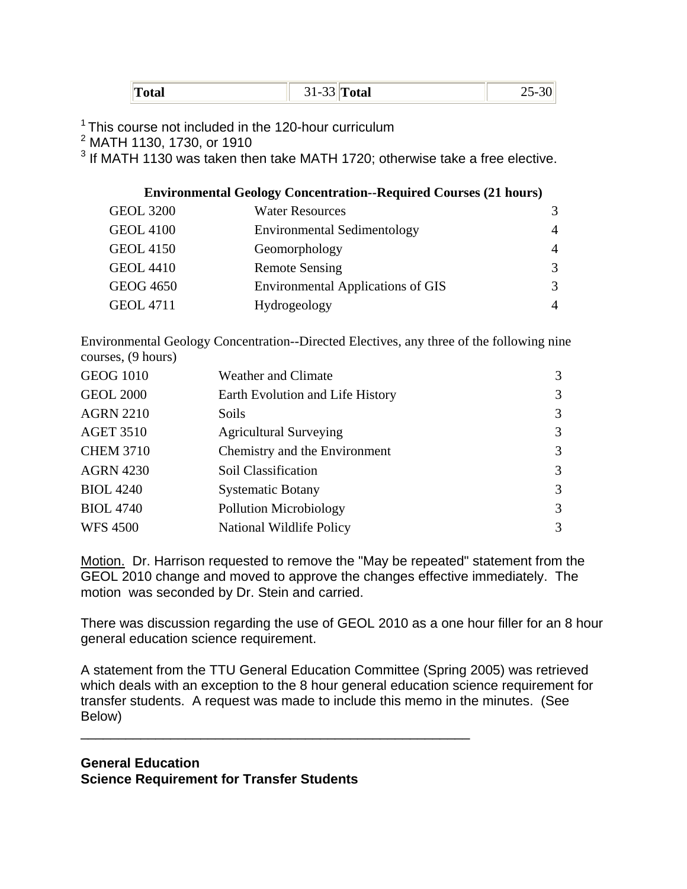| m<br>Total | $31-33$ Total | $\sim$ $\sim$<br>л- |
|------------|---------------|---------------------|
|------------|---------------|---------------------|

<sup>1</sup> This course not included in the 120-hour curriculum

2 MATH 1130, 1730, or 1910

 $3$  If MATH 1130 was taken then take MATH 1720; otherwise take a free elective.

#### **Environmental Geology Concentration--Required Courses (21 hours)**

| <b>GEOL 3200</b> | <b>Water Resources</b>                   | 3              |
|------------------|------------------------------------------|----------------|
| <b>GEOL 4100</b> | <b>Environmental Sedimentology</b>       | 4              |
| <b>GEOL 4150</b> | Geomorphology                            | $\overline{4}$ |
| <b>GEOL 4410</b> | <b>Remote Sensing</b>                    | 3              |
| <b>GEOG 4650</b> | <b>Environmental Applications of GIS</b> | 3              |
| <b>GEOL 4711</b> | Hydrogeology                             | 4              |

Environmental Geology Concentration--Directed Electives, any three of the following nine courses, (9 hours)

| <b>GEOG 1010</b> | <b>Weather and Climate</b>       | 3 |
|------------------|----------------------------------|---|
| <b>GEOL 2000</b> | Earth Evolution and Life History | 3 |
| <b>AGRN 2210</b> | Soils                            | 3 |
| <b>AGET 3510</b> | <b>Agricultural Surveying</b>    | 3 |
| <b>CHEM 3710</b> | Chemistry and the Environment    | 3 |
| <b>AGRN 4230</b> | Soil Classification              | 3 |
| <b>BIOL 4240</b> | <b>Systematic Botany</b>         | 3 |
| <b>BIOL 4740</b> | Pollution Microbiology           | 3 |
| <b>WFS 4500</b>  | National Wildlife Policy         | 3 |

Motion. Dr. Harrison requested to remove the "May be repeated" statement from the GEOL 2010 change and moved to approve the changes effective immediately. The motion was seconded by Dr. Stein and carried.

There was discussion regarding the use of GEOL 2010 as a one hour filler for an 8 hour general education science requirement.

A statement from the TTU General Education Committee (Spring 2005) was retrieved which deals with an exception to the 8 hour general education science requirement for transfer students. A request was made to include this memo in the minutes. (See Below)

**General Education Science Requirement for Transfer Students**

\_\_\_\_\_\_\_\_\_\_\_\_\_\_\_\_\_\_\_\_\_\_\_\_\_\_\_\_\_\_\_\_\_\_\_\_\_\_\_\_\_\_\_\_\_\_\_\_\_\_\_\_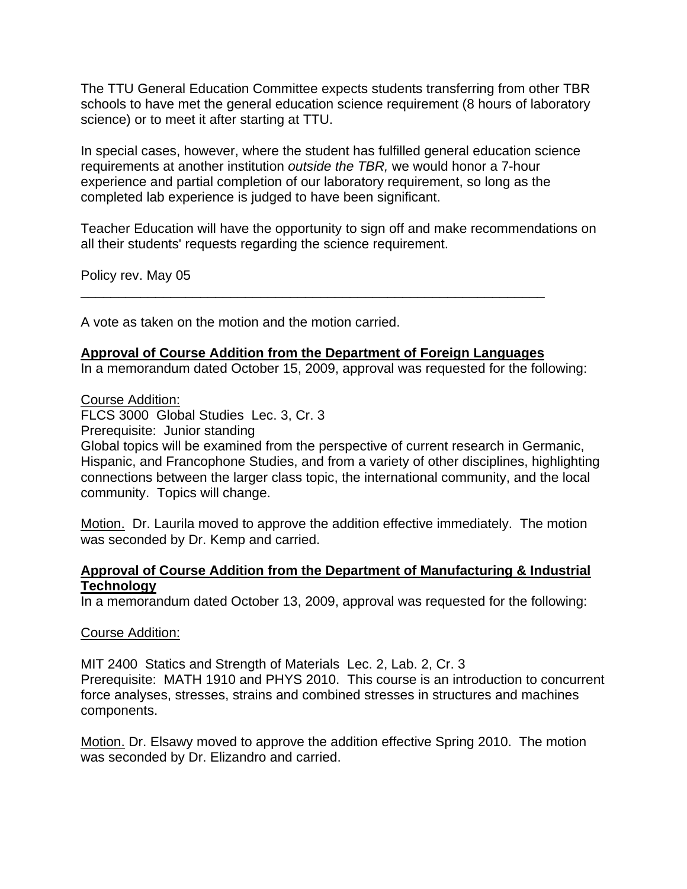The TTU General Education Committee expects students transferring from other TBR schools to have met the general education science requirement (8 hours of laboratory science) or to meet it after starting at TTU.

In special cases, however, where the student has fulfilled general education science requirements at another institution *outside the TBR,* we would honor a 7-hour experience and partial completion of our laboratory requirement, so long as the completed lab experience is judged to have been significant.

Teacher Education will have the opportunity to sign off and make recommendations on all their students' requests regarding the science requirement.

Policy rev. May 05

A vote as taken on the motion and the motion carried.

#### **Approval of Course Addition from the Department of Foreign Languages**

\_\_\_\_\_\_\_\_\_\_\_\_\_\_\_\_\_\_\_\_\_\_\_\_\_\_\_\_\_\_\_\_\_\_\_\_\_\_\_\_\_\_\_\_\_\_\_\_\_\_\_\_\_\_\_\_\_\_\_\_\_\_

In a memorandum dated October 15, 2009, approval was requested for the following:

Course Addition:

FLCS 3000 Global Studies Lec. 3, Cr. 3

Prerequisite: Junior standing

Global topics will be examined from the perspective of current research in Germanic, Hispanic, and Francophone Studies, and from a variety of other disciplines, highlighting connections between the larger class topic, the international community, and the local community. Topics will change.

Motion. Dr. Laurila moved to approve the addition effective immediately. The motion was seconded by Dr. Kemp and carried.

#### **Approval of Course Addition from the Department of Manufacturing & Industrial Technology**

In a memorandum dated October 13, 2009, approval was requested for the following:

#### Course Addition:

MIT 2400 Statics and Strength of Materials Lec. 2, Lab. 2, Cr. 3 Prerequisite: MATH 1910 and PHYS 2010. This course is an introduction to concurrent force analyses, stresses, strains and combined stresses in structures and machines components.

Motion. Dr. Elsawy moved to approve the addition effective Spring 2010. The motion was seconded by Dr. Elizandro and carried.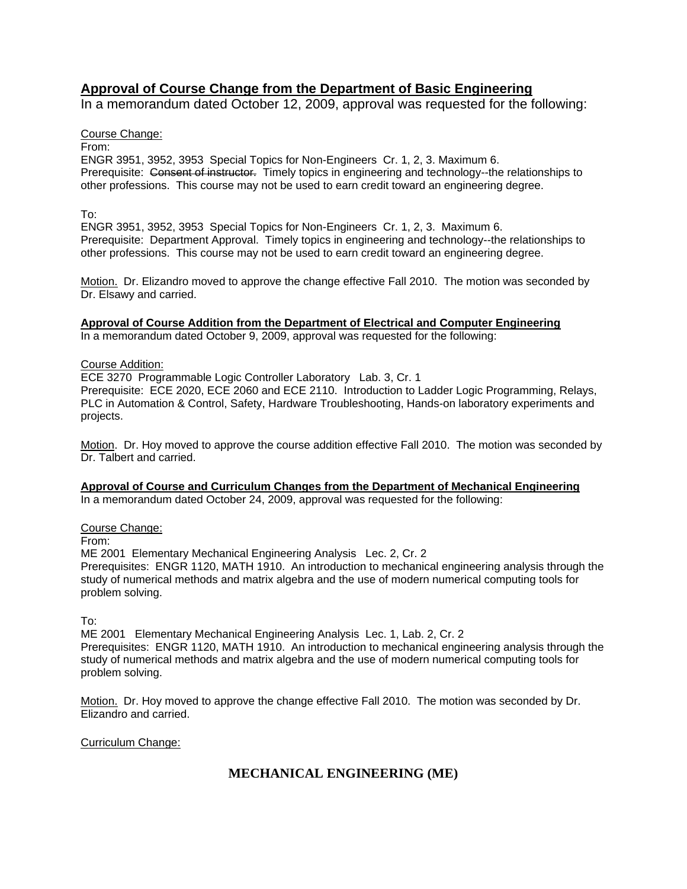#### **Approval of Course Change from the Department of Basic Engineering**

In a memorandum dated October 12, 2009, approval was requested for the following:

#### Course Change:

From:

ENGR 3951, 3952, 3953 Special Topics for Non-Engineers Cr. 1, 2, 3. Maximum 6. Prerequisite: Consent of instructor. Timely topics in engineering and technology--the relationships to other professions. This course may not be used to earn credit toward an engineering degree.

#### To:

ENGR 3951, 3952, 3953 Special Topics for Non-Engineers Cr. 1, 2, 3. Maximum 6. Prerequisite: Department Approval. Timely topics in engineering and technology--the relationships to other professions. This course may not be used to earn credit toward an engineering degree.

Motion. Dr. Elizandro moved to approve the change effective Fall 2010. The motion was seconded by Dr. Elsawy and carried.

**Approval of Course Addition from the Department of Electrical and Computer Engineering**

In a memorandum dated October 9, 2009, approval was requested for the following:

#### Course Addition:

ECE 3270 Programmable Logic Controller Laboratory Lab. 3, Cr. 1

Prerequisite: ECE 2020, ECE 2060 and ECE 2110. Introduction to Ladder Logic Programming, Relays, PLC in Automation & Control, Safety, Hardware Troubleshooting, Hands-on laboratory experiments and projects.

Motion. Dr. Hoy moved to approve the course addition effective Fall 2010. The motion was seconded by Dr. Talbert and carried.

**Approval of Course and Curriculum Changes from the Department of Mechanical Engineering**

In a memorandum dated October 24, 2009, approval was requested for the following:

Course Change:

From:

ME 2001 Elementary Mechanical Engineering Analysis Lec. 2, Cr. 2

Prerequisites: ENGR 1120, MATH 1910. An introduction to mechanical engineering analysis through the study of numerical methods and matrix algebra and the use of modern numerical computing tools for problem solving.

To:

ME 2001 Elementary Mechanical Engineering Analysis Lec. 1, Lab. 2, Cr. 2 Prerequisites: ENGR 1120, MATH 1910. An introduction to mechanical engineering analysis through the study of numerical methods and matrix algebra and the use of modern numerical computing tools for problem solving.

Motion. Dr. Hoy moved to approve the change effective Fall 2010. The motion was seconded by Dr. Elizandro and carried.

Curriculum Change:

#### **MECHANICAL ENGINEERING (ME)**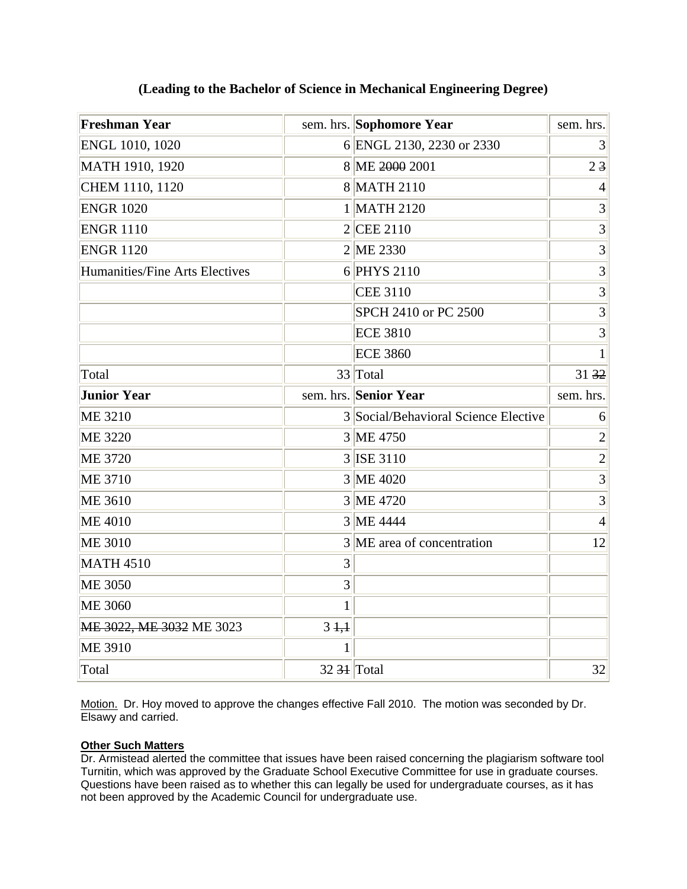| <b>Freshman Year</b>           |                              | sem. hrs. Sophomore Year             | sem. hrs.      |
|--------------------------------|------------------------------|--------------------------------------|----------------|
| ENGL 1010, 1020                |                              | 6 ENGL 2130, 2230 or 2330            | 3              |
| MATH 1910, 1920                |                              | 8 ME 2000 2001                       | 23             |
| CHEM 1110, 1120                |                              | 8 MATH 2110                          | $\overline{4}$ |
| <b>ENGR 1020</b>               |                              | 1 MATH 2120                          | 3              |
| <b>ENGR 1110</b>               |                              | $2$ CEE 2110                         | 3              |
| <b>ENGR 1120</b>               |                              | 2 ME 2330                            | 3              |
| Humanities/Fine Arts Electives |                              | 6 PHYS 2110                          | 3              |
|                                |                              | <b>CEE 3110</b>                      | 3              |
|                                |                              | SPCH 2410 or PC 2500                 | 3              |
|                                |                              | <b>ECE 3810</b>                      | 3              |
|                                |                              | <b>ECE 3860</b>                      | $\mathbf{1}$   |
| Total                          |                              | 33 Total                             | 3132           |
| <b>Junior Year</b>             |                              | sem. hrs. Senior Year                | sem. hrs.      |
| <b>ME 3210</b>                 |                              | 3 Social/Behavioral Science Elective | 6              |
| <b>ME 3220</b>                 |                              | 3 ME 4750                            | $\overline{2}$ |
| <b>ME 3720</b>                 |                              | 3 ISE 3110                           | $\overline{2}$ |
| <b>ME 3710</b>                 |                              | 3 ME 4020                            | $\overline{3}$ |
| <b>ME 3610</b>                 |                              | 3 ME 4720                            | $\overline{3}$ |
| <b>ME 4010</b>                 |                              | 3 ME 4444                            | $\overline{4}$ |
| <b>ME 3010</b>                 |                              | 3 ME area of concentration           | 12             |
| <b>MATH 4510</b>               | 3                            |                                      |                |
| <b>ME 3050</b>                 | 3                            |                                      |                |
| <b>ME 3060</b>                 | $\mathbf{1}$                 |                                      |                |
| ME 3022, ME 3032 ME 3023       | $3 + 1$                      |                                      |                |
| <b>ME 3910</b>                 | 1                            |                                      |                |
| Total                          | $32 \frac{31}{\text{Total}}$ |                                      | 32             |

#### **(Leading to the Bachelor of Science in Mechanical Engineering Degree)**

Motion. Dr. Hoy moved to approve the changes effective Fall 2010. The motion was seconded by Dr. Elsawy and carried.

#### **Other Such Matters**

Dr. Armistead alerted the committee that issues have been raised concerning the plagiarism software tool Turnitin, which was approved by the Graduate School Executive Committee for use in graduate courses. Questions have been raised as to whether this can legally be used for undergraduate courses, as it has not been approved by the Academic Council for undergraduate use.